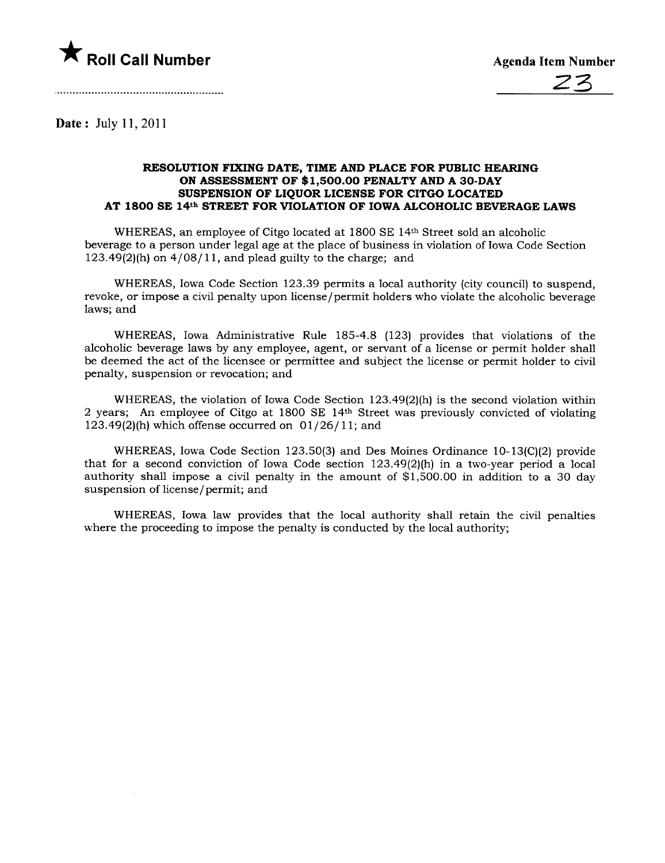

Date: July 11,2011

## RESOLUTION FIXING DATE, TIME AND PLACE FOR PUBLIC HEARING ON ASSESSMENT OF \$1,500.00 PENALTY AND A 30-DAY SUSPENSION OF LIQUOR LICENSE FOR CITGO LOCATED AT 1800 SE 14th STREET FOR VIOLATION OF IOWA ALCOHOLIC BEVERAGE LAWS

WHEREAS, an employee of Citgo located at 1800 SE 14th Street sold an alcoholic beverage to a person under legal age at the place of business in violation of Iowa Code Section 123.49(2)(h) on  $4/08/11$ , and plead guilty to the charge; and

WHEREAS, Iowa Code Section 123.39 permits a local authority (city council) to suspend, revoke, or impose a civil penalty upon license/permit holders who violate the alcoholic beverage laws; and

WHEREAS, Iowa Administrative Rule 185-4.8 (123) provides that violations of the alcoholic beverage laws by any employee, agent, or servant of a license or permit holder shall be deemed the act of the licensee or permittee and subject the license or permit holder to civil penalty, suspension or revocation; and

WHEREAS, the violation of Iowa Code Section 123.49(2)(h) is the second violation within 2 years; An employee of Citgo at 1800 SE 14th Street was previously convicted of violating 123.49 $(2)$ (h) which offense occurred on  $01/26/11$ ; and

WHEREAS, Iowa Code Section 123.50(3) and Des Moines Ordinance 10-13(C)(2) provide that for a second conviction of Iowa Code section  $123.49(2)$ (h) in a two-year period a local authority shall impose a civil penalty in the amount of \$1,500.00 in addition to a 30 day suspension of license / permit; and

WHEREAS, Iowa law provides that the local authority shall retain the civil penalties where the proceeding to impose the penalty is conducted by the local authority;